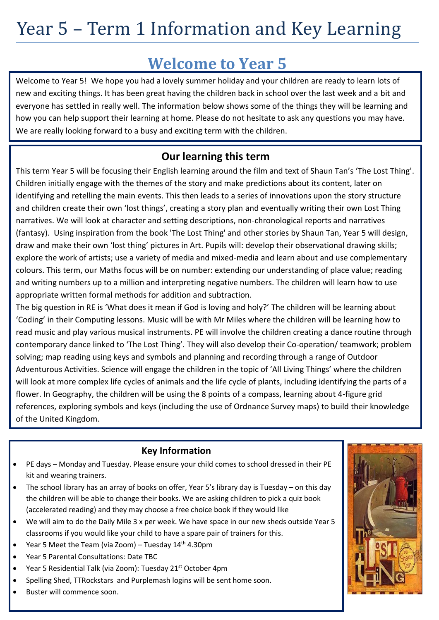### **Welcome to Year 5**

Welcome to Year 5! We hope you had a lovely summer holiday and your children are ready to learn lots of new and exciting things. It has been great having the children back in school over the last week and a bit and everyone has settled in really well. The information below shows some of the things they will be learning and how you can help support their learning at home. Please do not hesitate to ask any questions you may have. We are really looking forward to a busy and exciting term with the children.

#### **Our learning this term**

This term Year 5 will be focusing their English learning around the film and text of Shaun Tan's 'The Lost Thing'. Children initially engage with the themes of the story and make predictions about its content, later on identifying and retelling the main events. This then leads to a series of innovations upon the story structure and children create their own 'lost things', creating a story plan and eventually writing their own Lost Thing narratives. We will look at character and setting descriptions, non-chronological reports and narratives (fantasy). Using inspiration from the book 'The Lost Thing' and other stories by Shaun Tan, Year 5 will design, draw and make their own 'lost thing' pictures in Art. Pupils will: develop their observational drawing skills; explore the work of artists; use a variety of media and mixed-media and learn about and use complementary colours. This term, our Maths focus will be on number: extending our understanding of place value; reading and writing numbers up to a million and interpreting negative numbers. The children will learn how to use appropriate written formal methods for addition and subtraction.

The big question in RE is 'What does it mean if God is loving and holy?' The children will be learning about 'Coding' in their Computing lessons. Music will be with Mr Miles where the children will be learning how to read music and play various musical instruments. PE will involve the children creating a dance routine through contemporary dance linked to 'The Lost Thing'. They will also develop their Co-operation/ teamwork; problem solving; map reading using keys and symbols and planning and recording through a range of Outdoor Adventurous Activities. Science will engage the children in the topic of 'All Living Things' where the children will look at more complex life cycles of animals and the life cycle of plants, including identifying the parts of a flower. In Geography, the children will be using the 8 points of a compass, learning about 4-figure grid references, exploring symbols and keys (including the use of Ordnance Survey maps) to build their knowledge of the United Kingdom.

#### **Key Information**

- PE days Monday and Tuesday. Please ensure your child comes to school dressed in their PE kit and wearing trainers.
- The school library has an array of books on offer, Year 5's library day is Tuesday on this day the children will be able to change their books. We are asking children to pick a quiz book (accelerated reading) and they may choose a free choice book if they would like
- We will aim to do the Daily Mile 3 x per week. We have space in our new sheds outside Year 5 classrooms if you would like your child to have a spare pair of trainers for this.
- Year 5 Meet the Team (via Zoom) Tuesday  $14<sup>th</sup>$  4.30pm
- Year 5 Parental Consultations: Date TBC
- Year 5 Residential Talk (via Zoom): Tuesday 21<sup>st</sup> October 4pm
- Spelling Shed, TTRockstars and Purplemash logins will be sent home soon.
- Buster will commence soon.